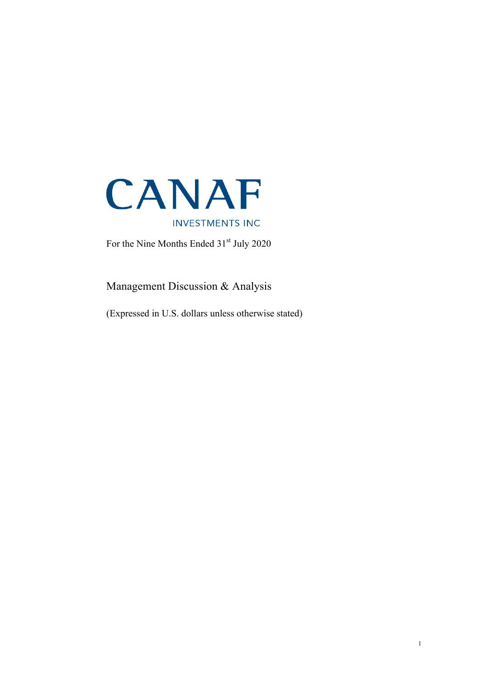

For the Nine Months Ended 31<sup>st</sup> July 2020

Management Discussion & Analysis

(Expressed in U.S. dollars unless otherwise stated)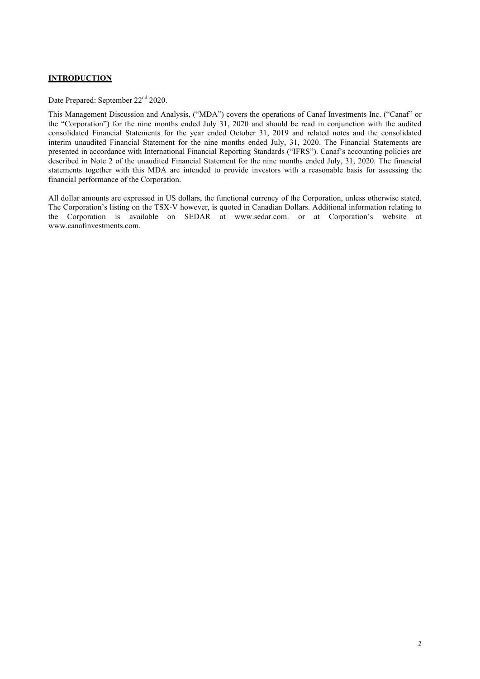# **INTRODUCTION**

Date Prepared: September 22<sup>nd</sup> 2020.

This Management Discussion and Analysis, ("MDA") covers the operations of Canaf Investments Inc. ("Canaf" or the "Corporation") for the nine months ended July 31, 2020 and should be read in conjunction with the audited consolidated Financial Statements for the year ended October 31, 2019 and related notes and the consolidated interim unaudited Financial Statement for the nine months ended July, 31, 2020. The Financial Statements are presented in accordance with International Financial Reporting Standards ("IFRS"). Canaf's accounting policies are described in Note 2 of the unaudited Financial Statement for the nine months ended July, 31, 2020. The financial statements together with this MDA are intended to provide investors with a reasonable basis for assessing the financial performance of the Corporation.

All dollar amounts are expressed in US dollars, the functional currency of the Corporation, unless otherwise stated. The Corporation's listing on the TSX-V however, is quoted in Canadian Dollars. Additional information relating to the Corporation is available on SEDAR at www.sedar.com. or at Corporation's website at www.canafinvestments.com.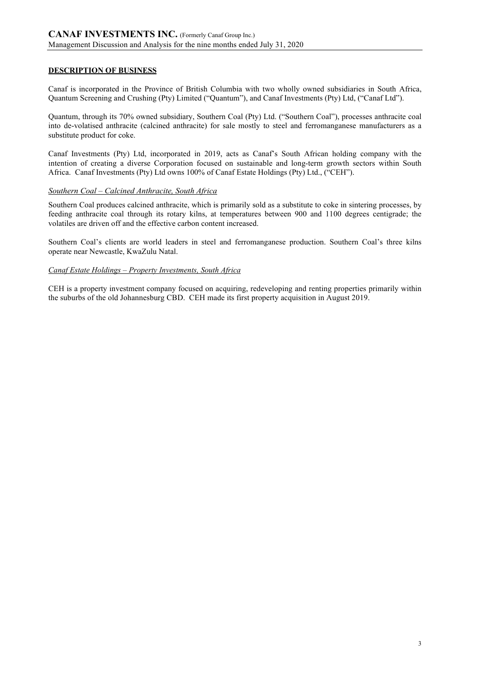# **DESCRIPTION OF BUSINESS**

Canaf is incorporated in the Province of British Columbia with two wholly owned subsidiaries in South Africa, Quantum Screening and Crushing (Pty) Limited ("Quantum"), and Canaf Investments (Pty) Ltd, ("Canaf Ltd").

Quantum, through its 70% owned subsidiary, Southern Coal (Pty) Ltd. ("Southern Coal"), processes anthracite coal into de-volatised anthracite (calcined anthracite) for sale mostly to steel and ferromanganese manufacturers as a substitute product for coke.

Canaf Investments (Pty) Ltd, incorporated in 2019, acts as Canaf's South African holding company with the intention of creating a diverse Corporation focused on sustainable and long-term growth sectors within South Africa. Canaf Investments (Pty) Ltd owns 100% of Canaf Estate Holdings (Pty) Ltd., ("CEH").

### *Southern Coal – Calcined Anthracite, South Africa*

Southern Coal produces calcined anthracite, which is primarily sold as a substitute to coke in sintering processes, by feeding anthracite coal through its rotary kilns, at temperatures between 900 and 1100 degrees centigrade; the volatiles are driven off and the effective carbon content increased.

Southern Coal's clients are world leaders in steel and ferromanganese production. Southern Coal's three kilns operate near Newcastle, KwaZulu Natal.

#### *Canaf Estate Holdings – Property Investments, South Africa*

CEH is a property investment company focused on acquiring, redeveloping and renting properties primarily within the suburbs of the old Johannesburg CBD. CEH made its first property acquisition in August 2019.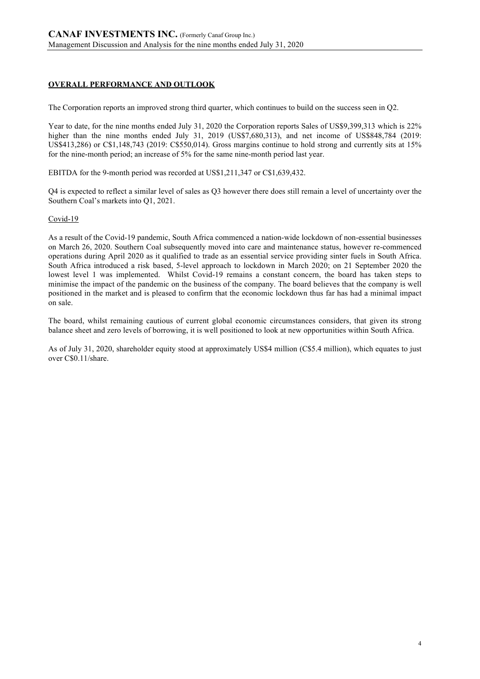# **OVERALL PERFORMANCE AND OUTLOOK**

The Corporation reports an improved strong third quarter, which continues to build on the success seen in Q2.

Year to date, for the nine months ended July 31, 2020 the Corporation reports Sales of US\$9,399,313 which is 22% higher than the nine months ended July 31, 2019 (US\$7,680,313), and net income of US\$848,784 (2019: US\$413,286) or C\$1,148,743 (2019: C\$550,014). Gross margins continue to hold strong and currently sits at 15% for the nine-month period; an increase of 5% for the same nine-month period last year.

EBITDA for the 9-month period was recorded at US\$1,211,347 or C\$1,639,432.

Q4 is expected to reflect a similar level of sales as Q3 however there does still remain a level of uncertainty over the Southern Coal's markets into Q1, 2021.

### Covid-19

As a result of the Covid-19 pandemic, South Africa commenced a nation-wide lockdown of non-essential businesses on March 26, 2020. Southern Coal subsequently moved into care and maintenance status, however re-commenced operations during April 2020 as it qualified to trade as an essential service providing sinter fuels in South Africa. South Africa introduced a risk based, 5-level approach to lockdown in March 2020; on 21 September 2020 the lowest level 1 was implemented. Whilst Covid-19 remains a constant concern, the board has taken steps to minimise the impact of the pandemic on the business of the company. The board believes that the company is well positioned in the market and is pleased to confirm that the economic lockdown thus far has had a minimal impact on sale.

The board, whilst remaining cautious of current global economic circumstances considers, that given its strong balance sheet and zero levels of borrowing, it is well positioned to look at new opportunities within South Africa.

As of July 31, 2020, shareholder equity stood at approximately US\$4 million (C\$5.4 million), which equates to just over C\$0.11/share.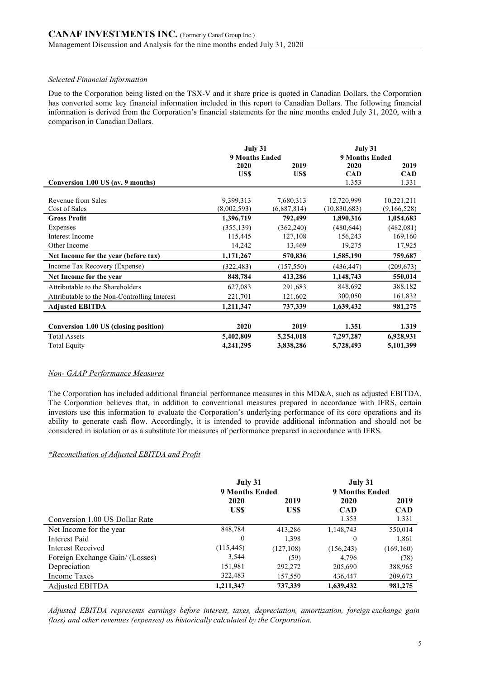# *Selected Financial Information*

Due to the Corporation being listed on the TSX-V and it share price is quoted in Canadian Dollars, the Corporation has converted some key financial information included in this report to Canadian Dollars. The following financial information is derived from the Corporation's financial statements for the nine months ended July 31, 2020, with a comparison in Canadian Dollars.

|                                              | July 31               |             | July 31               |             |  |
|----------------------------------------------|-----------------------|-------------|-----------------------|-------------|--|
|                                              | <b>9 Months Ended</b> |             | <b>9 Months Ended</b> |             |  |
|                                              | 2020                  | 2019        | 2020                  | 2019        |  |
|                                              | US\$                  | US\$        | <b>CAD</b>            | <b>CAD</b>  |  |
| Conversion 1.00 US (av. 9 months)            |                       |             | 1.353                 | 1.331       |  |
| Revenue from Sales                           | 9,399,313             | 7,680,313   | 12,720,999            | 10,221,211  |  |
| Cost of Sales                                | (8,002,593)           | (6,887,814) | (10, 830, 683)        | (9,166,528) |  |
| <b>Gross Profit</b>                          | 1,396,719             | 792,499     | 1,890,316             | 1,054,683   |  |
| Expenses                                     | (355, 139)            | (362, 240)  | (480, 644)            | (482,081)   |  |
| Interest Income                              | 115,445               | 127,108     | 156,243               | 169,160     |  |
| Other Income                                 | 14,242                | 13,469      | 19,275                | 17,925      |  |
| Net Income for the year (before tax)         | 1,171,267             | 570,836     | 1,585,190             | 759,687     |  |
| Income Tax Recovery (Expense)                | (322, 483)            | (157, 550)  | (436, 447)            | (209, 673)  |  |
| Net Income for the year                      | 848,784               | 413,286     | 1,148,743             | 550,014     |  |
| Attributable to the Shareholders             | 627,083               | 291,683     | 848,692               | 388,182     |  |
| Attributable to the Non-Controlling Interest | 221,701               | 121,602     | 300,050               | 161,832     |  |
| <b>Adjusted EBITDA</b>                       | 1,211,347             | 737,339     | 1,639,432             | 981,275     |  |
| Conversion 1.00 US (closing position)        | 2020                  | 2019        | 1.351                 | 1.319       |  |
| <b>Total Assets</b>                          | 5,402,809             | 5,254,018   | 7,297,287             | 6,928,931   |  |
| <b>Total Equity</b>                          | 4,241,295             | 3,838,286   | 5,728,493             | 5,101,399   |  |

### *Non- GAAP Performance Measures*

The Corporation has included additional financial performance measures in this MD&A, such as adjusted EBITDA. The Corporation believes that, in addition to conventional measures prepared in accordance with IFRS, certain investors use this information to evaluate the Corporation's underlying performance of its core operations and its ability to generate cash flow. Accordingly, it is intended to provide additional information and should not be considered in isolation or as a substitute for measures of performance prepared in accordance with IFRS.

### *\*Reconciliation of Adjusted EBITDA and Profit*

|                                 | July 31<br>9 Months Ended |            | July 31<br><b>9 Months Ended</b> |            |
|---------------------------------|---------------------------|------------|----------------------------------|------------|
|                                 | 2020                      | 2019       | 2020                             | 2019       |
|                                 | US\$                      | US\$       | <b>CAD</b>                       | <b>CAD</b> |
| Conversion 1.00 US Dollar Rate  |                           |            | 1.353                            | 1.331      |
| Net Income for the year         | 848,784                   | 413,286    | 1,148,743                        | 550,014    |
| Interest Paid                   | $\boldsymbol{0}$          | 1,398      | $\boldsymbol{0}$                 | 1,861      |
| Interest Received               | (115, 445)                | (127, 108) | (156, 243)                       | (169, 160) |
| Foreign Exchange Gain/ (Losses) | 3,544                     | (59)       | 4,796                            | (78)       |
| Depreciation                    | 151,981                   | 292,272    | 205,690                          | 388,965    |
| Income Taxes                    | 322,483                   | 157,550    | 436,447                          | 209,673    |
| Adjusted EBITDA                 | 1,211,347                 | 737,339    | 1,639,432                        | 981,275    |

*Adjusted EBITDA represents earnings before interest, taxes, depreciation, amortization, foreign exchange gain (loss) and other revenues (expenses) as historically calculated by the Corporation.*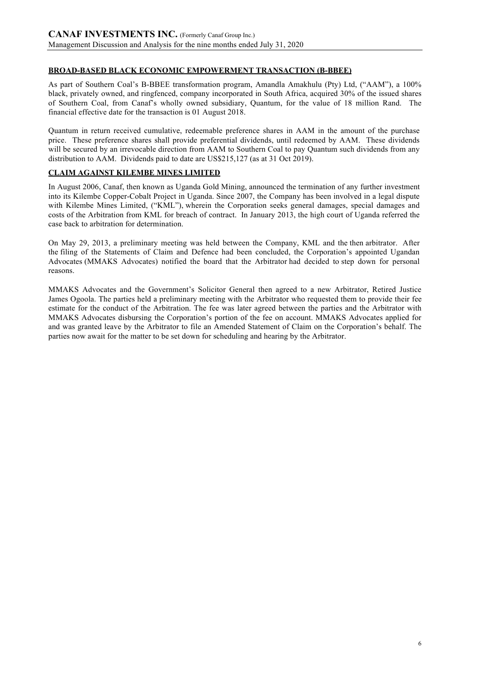# **BROAD-BASED BLACK ECONOMIC EMPOWERMENT TRANSACTION (B-BBEE)**

As part of Southern Coal's B-BBEE transformation program, Amandla Amakhulu (Pty) Ltd, ("AAM"), a 100% black, privately owned, and ringfenced, company incorporated in South Africa, acquired 30% of the issued shares of Southern Coal, from Canaf's wholly owned subsidiary, Quantum, for the value of 18 million Rand. The financial effective date for the transaction is 01 August 2018.

Quantum in return received cumulative, redeemable preference shares in AAM in the amount of the purchase price. These preference shares shall provide preferential dividends, until redeemed by AAM. These dividends will be secured by an irrevocable direction from AAM to Southern Coal to pay Ouantum such dividends from any distribution to AAM. Dividends paid to date are US\$215,127 (as at 31 Oct 2019).

# **CLAIM AGAINST KILEMBE MINES LIMITED**

In August 2006, Canaf, then known as Uganda Gold Mining, announced the termination of any further investment into its Kilembe Copper-Cobalt Project in Uganda. Since 2007, the Company has been involved in a legal dispute with Kilembe Mines Limited, ("KML"), wherein the Corporation seeks general damages, special damages and costs of the Arbitration from KML for breach of contract. In January 2013, the high court of Uganda referred the case back to arbitration for determination.

On May 29, 2013, a preliminary meeting was held between the Company, KML and the then arbitrator. After the filing of the Statements of Claim and Defence had been concluded, the Corporation's appointed Ugandan Advocates (MMAKS Advocates) notified the board that the Arbitrator had decided to step down for personal reasons.

MMAKS Advocates and the Government's Solicitor General then agreed to a new Arbitrator, Retired Justice James Ogoola. The parties held a preliminary meeting with the Arbitrator who requested them to provide their fee estimate for the conduct of the Arbitration. The fee was later agreed between the parties and the Arbitrator with MMAKS Advocates disbursing the Corporation's portion of the fee on account. MMAKS Advocates applied for and was granted leave by the Arbitrator to file an Amended Statement of Claim on the Corporation's behalf. The parties now await for the matter to be set down for scheduling and hearing by the Arbitrator.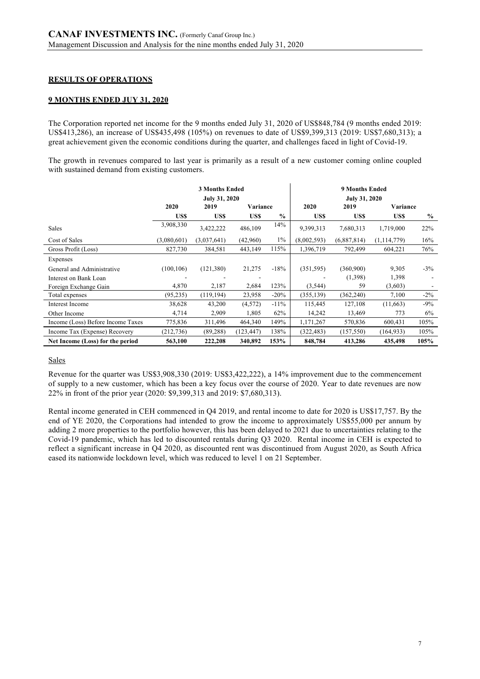# **RESULTS OF OPERATIONS**

### **9 MONTHS ENDED JUY 31, 2020**

The Corporation reported net income for the 9 months ended July 31, 2020 of US\$848,784 (9 months ended 2019: US\$413,286), an increase of US\$435,498 (105%) on revenues to date of US\$9,399,313 (2019: US\$7,680,313); a great achievement given the economic conditions during the quarter, and challenges faced in light of Covid-19.

The growth in revenues compared to last year is primarily as a result of a new customer coming online coupled with sustained demand from existing customers.

|                                   | <b>3 Months Ended</b><br><b>July 31, 2020</b> |             |            |               |             | <b>9 Months Ended</b><br><b>July 31, 2020</b> |               |               |
|-----------------------------------|-----------------------------------------------|-------------|------------|---------------|-------------|-----------------------------------------------|---------------|---------------|
|                                   | 2020                                          | 2019        | Variance   |               | 2020        | 2019                                          | Variance      |               |
|                                   | US\$                                          | US\$        | US\$       | $\frac{6}{6}$ | US\$        | US\$                                          | US\$          | $\frac{6}{9}$ |
| <b>Sales</b>                      | 3,908,330                                     | 3,422,222   | 486,109    | 14%           | 9,399,313   | 7,680,313                                     | 1,719,000     | 22%           |
| Cost of Sales                     | (3,080,601)                                   | (3,037,641) | (42,960)   | $1\%$         | (8,002,593) | (6,887,814)                                   | (1, 114, 779) | 16%           |
| Gross Profit (Loss)               | 827,730                                       | 384,581     | 443,149    | 115%          | 1,396,719   | 792,499                                       | 604,221       | 76%           |
| Expenses                          |                                               |             |            |               |             |                                               |               |               |
| General and Administrative        | (100, 106)                                    | (121, 380)  | 21,275     | $-18%$        | (351, 595)  | (360,900)                                     | 9,305         | $-3\%$        |
| Interest on Bank Loan             |                                               |             |            |               |             | (1,398)                                       | 1,398         |               |
| Foreign Exchange Gain             | 4,870                                         | 2,187       | 2,684      | 123%          | (3,544)     | 59                                            | (3,603)       |               |
| Total expenses                    | (95, 235)                                     | (119, 194)  | 23,958     | $-20%$        | (355, 139)  | (362, 240)                                    | 7,100         | $-2\%$        |
| Interest Income                   | 38,628                                        | 43,200      | (4,572)    | $-11%$        | 115,445     | 127,108                                       | (11,663)      | $-9%$         |
| Other Income                      | 4,714                                         | 2,909       | 1,805      | 62%           | 14,242      | 13,469                                        | 773           | 6%            |
| Income (Loss) Before Income Taxes | 775,836                                       | 311,496     | 464,340    | 149%          | 1,171,267   | 570,836                                       | 600,431       | 105%          |
| Income Tax (Expense) Recovery     | (212, 736)                                    | (89, 288)   | (123, 447) | 138%          | (322, 483)  | (157, 550)                                    | (164, 933)    | 105%          |
| Net Income (Loss) for the period  | 563,100                                       | 222,208     | 340,892    | 153%          | 848,784     | 413,286                                       | 435,498       | 105%          |

### Sales

Revenue for the quarter was US\$3,908,330 (2019: US\$3,422,222), a 14% improvement due to the commencement of supply to a new customer, which has been a key focus over the course of 2020. Year to date revenues are now 22% in front of the prior year (2020: \$9,399,313 and 2019: \$7,680,313).

Rental income generated in CEH commenced in Q4 2019, and rental income to date for 2020 is US\$17,757. By the end of YE 2020, the Corporations had intended to grow the income to approximately US\$55,000 per annum by adding 2 more properties to the portfolio however, this has been delayed to 2021 due to uncertainties relating to the Covid-19 pandemic, which has led to discounted rentals during Q3 2020. Rental income in CEH is expected to reflect a significant increase in Q4 2020, as discounted rent was discontinued from August 2020, as South Africa eased its nationwide lockdown level, which was reduced to level 1 on 21 September.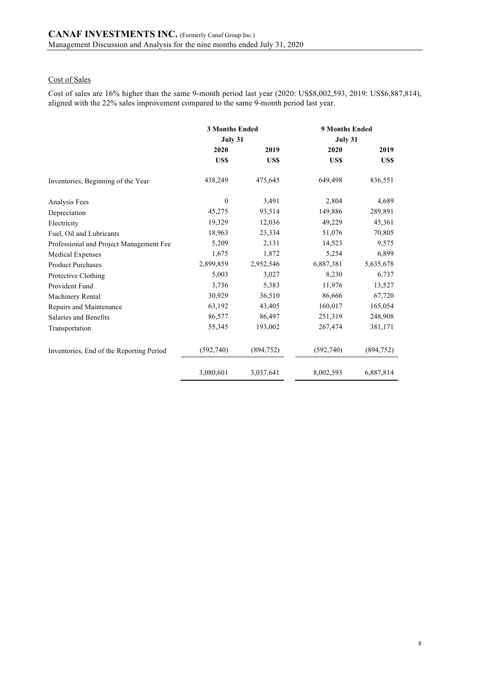# Cost of Sales

Cost of sales are 16% higher than the same 9-month period last year (2020: US\$8,002,593, 2019: US\$6,887,814), aligned with the 22% sales improvement compared to the same 9-month period last year.

|                                          | <b>3 Months Ended</b> |            | <b>9 Months Ended</b> |            |  |
|------------------------------------------|-----------------------|------------|-----------------------|------------|--|
|                                          | July 31               |            | July 31               |            |  |
|                                          | 2020                  | 2019       | 2020                  | 2019       |  |
|                                          | US\$                  | US\$       | US\$                  | US\$       |  |
| Inventories, Beginning of the Year       | 438,249               | 475,645    | 649,498               | 836,551    |  |
| Analysis Fees                            | $\mathbf{0}$          | 3,491      | 2,804                 | 4,689      |  |
| Depreciation                             | 45,275                | 93,514     | 149,886               | 289,891    |  |
| Electricity                              | 19,329                | 12,036     | 49,229                | 45,361     |  |
| Fuel, Oil and Lubricants                 | 18,963                | 23,334     | 51,076                | 70,805     |  |
| Professional and Project Management Fee  | 5,209                 | 2,131      | 14,523                | 9,575      |  |
| <b>Medical Expenses</b>                  | 1,675                 | 1,872      | 5,254                 | 6,899      |  |
| <b>Product Purchases</b>                 | 2,899,859             | 2,952,546  | 6,887,381             | 5,635,678  |  |
| Protective Clothing                      | 5,003                 | 3,027      | 8,230                 | 6,737      |  |
| Provident Fund                           | 3,736                 | 5,383      | 11,976                | 13,527     |  |
| Machinery Rental                         | 30,929                | 36,510     | 86,666                | 67,720     |  |
| Repairs and Maintenance                  | 63,192                | 43,405     | 160,017               | 165,054    |  |
| Salaries and Benefits                    | 86,577                | 86,497     | 251,319               | 248,908    |  |
| Transportation                           | 55,345                | 193,002    | 267,474               | 381,171    |  |
| Inventories, End of the Reporting Period | (592,740)             | (894, 752) | (592,740)             | (894, 752) |  |
|                                          | 3,080,601             | 3,037,641  | 8,002,593             | 6,887,814  |  |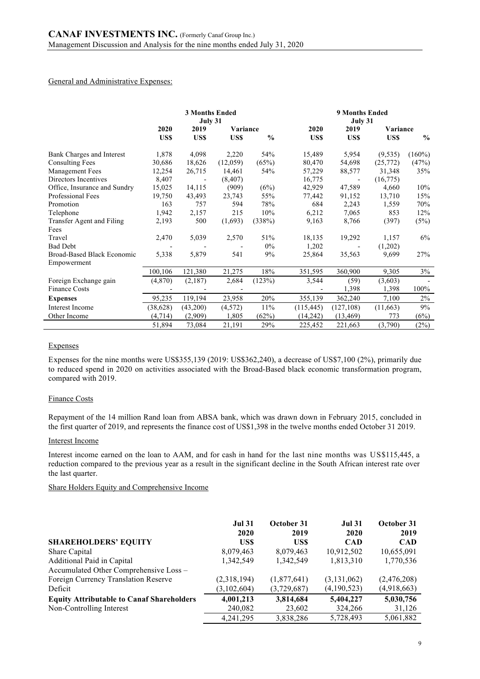#### General and Administrative Expenses:

|                                           | <b>3 Months Ended</b><br>July 31 |          |          |               | <b>9 Months Ended</b><br>July 31 |            |            |               |
|-------------------------------------------|----------------------------------|----------|----------|---------------|----------------------------------|------------|------------|---------------|
|                                           | 2020                             | 2019     | Variance |               | 2020                             | 2019       | Variance   |               |
|                                           | US\$                             | US\$     | US\$     | $\frac{0}{0}$ | US\$                             | US\$       | <b>USS</b> | $\frac{0}{0}$ |
| Bank Charges and Interest                 | 1,878                            | 4,098    | 2,220    | 54%           | 15,489                           | 5,954      | (9, 535)   | $(160\%)$     |
| <b>Consulting Fees</b>                    | 30,686                           | 18,626   | (12,059) | (65%)         | 80,470                           | 54,698     | (25,772)   | (47%)         |
| <b>Management Fees</b>                    | 12,254                           | 26,715   | 14,461   | 54%           | 57,229                           | 88,577     | 31,348     | 35%           |
| Directors Incentives                      | 8,407                            |          | (8, 407) |               | 16,775                           |            | (16, 775)  |               |
| Office, Insurance and Sundry              | 15,025                           | 14,115   | (909)    | (6%)          | 42,929                           | 47,589     | 4,660      | 10%           |
| <b>Professional Fees</b>                  | 19,750                           | 43,493   | 23,743   | 55%           | 77,442                           | 91,152     | 13,710     | 15%           |
| Promotion                                 | 163                              | 757      | 594      | 78%           | 684                              | 2,243      | 1,559      | 70%           |
| Telephone                                 | 1,942                            | 2,157    | 215      | 10%           | 6,212                            | 7,065      | 853        | 12%           |
| Transfer Agent and Filing                 | 2,193                            | 500      | (1,693)  | (338%)        | 9,163                            | 8,766      | (397)      | (5%)          |
| Fees                                      |                                  |          |          |               |                                  |            |            |               |
| Travel                                    | 2,470                            | 5,039    | 2,570    | 51%           | 18,135                           | 19,292     | 1,157      | 6%            |
| <b>Bad Debt</b>                           |                                  |          |          | $0\%$         | 1,202                            |            | (1,202)    |               |
| Broad-Based Black Economic<br>Empowerment | 5,338                            | 5,879    | 541      | 9%            | 25,864                           | 35,563     | 9,699      | 27%           |
|                                           | 100,106                          | 121,380  | 21,275   | 18%           | 351,595                          | 360,900    | 9,305      | 3%            |
| Foreign Exchange gain                     | (4,870)                          | (2,187)  | 2,684    | (123%)        | 3,544                            | (59)       | (3,603)    |               |
| <b>Finance Costs</b>                      |                                  |          |          |               |                                  | 1,398      | 1,398      | 100%          |
| <b>Expenses</b>                           | 95,235                           | 119,194  | 23,958   | 20%           | 355,139                          | 362,240    | 7,100      | 2%            |
| Interest Income                           | (38,628)                         | (43,200) | (4,572)  | 11%           | (115, 445)                       | (127, 108) | (11,663)   | 9%            |
| Other Income                              | (4, 714)                         | (2,909)  | 1,805    | (62%)         | (14, 242)                        | (13, 469)  | 773        | (6%)          |
|                                           | 51,894                           | 73,084   | 21,191   | 29%           | 225,452                          | 221,663    | (3,790)    | (2%)          |

### Expenses

Expenses for the nine months were US\$355,139 (2019: US\$362,240), a decrease of US\$7,100 (2%), primarily due to reduced spend in 2020 on activities associated with the Broad-Based black economic transformation program, compared with 2019.

### Finance Costs

Repayment of the 14 million Rand loan from ABSA bank, which was drawn down in February 2015, concluded in the first quarter of 2019, and represents the finance cost of US\$1,398 in the twelve months ended October 31 2019.

### Interest Income

Interest income earned on the loan to AAM, and for cash in hand for the last nine months was US\$115,445, a reduction compared to the previous year as a result in the significant decline in the South African interest rate over the last quarter.

#### Share Holders Equity and Comprehensive Income

|                                                  | <b>Jul 31</b><br>2020 | October 31<br>2019 | <b>Jul 31</b><br>2020 | October 31<br>2019 |
|--------------------------------------------------|-----------------------|--------------------|-----------------------|--------------------|
| <b>SHAREHOLDERS' EQUITY</b>                      | US\$                  | US\$               | <b>CAD</b>            | <b>CAD</b>         |
| Share Capital                                    | 8,079,463             | 8,079,463          | 10,912,502            | 10,655,091         |
| Additional Paid in Capital                       | 1,342,549             | 1,342,549          | 1,813,310             | 1,770,536          |
| Accumulated Other Comprehensive Loss -           |                       |                    |                       |                    |
| Foreign Currency Translation Reserve             | (2,318,194)           | (1,877,641)        | (3, 131, 062)         | (2,476,208)        |
| Deficit                                          | (3,102,604)           | (3,729,687)        | (4,190,523)           | (4,918,663)        |
| <b>Equity Attributable to Canaf Shareholders</b> | 4,001,213             | 3,814,684          | 5,404,227             | 5,030,756          |
| Non-Controlling Interest                         | 240,082               | 23,602             | 324,266               | 31,126             |
|                                                  | 4.241.295             | 3,838,286          | 5,728,493             | 5,061,882          |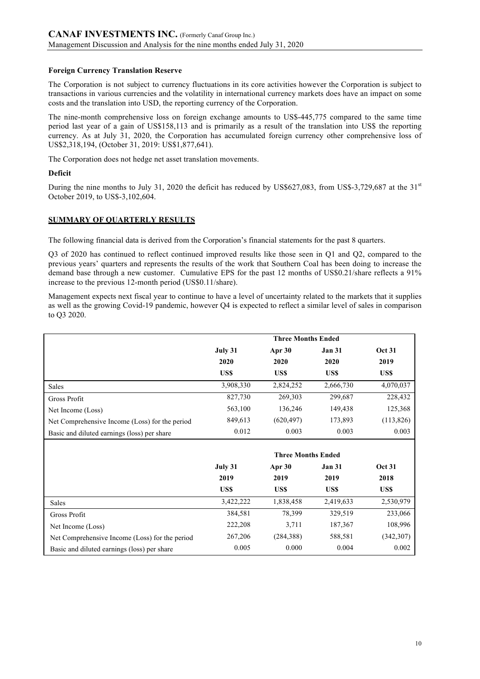# **Foreign Currency Translation Reserve**

The Corporation is not subject to currency fluctuations in its core activities however the Corporation is subject to transactions in various currencies and the volatility in international currency markets does have an impact on some costs and the translation into USD, the reporting currency of the Corporation.

The nine-month comprehensive loss on foreign exchange amounts to US\$-445,775 compared to the same time period last year of a gain of US\$158,113 and is primarily as a result of the translation into US\$ the reporting currency. As at July 31, 2020, the Corporation has accumulated foreign currency other comprehensive loss of US\$2,318,194, (October 31, 2019: US\$1,877,641).

The Corporation does not hedge net asset translation movements.

# **Deficit**

During the nine months to July 31, 2020 the deficit has reduced by US\$627,083, from US\$-3,729,687 at the 31<sup>st</sup> October 2019, to US\$-3,102,604.

# **SUMMARY OF QUARTERLY RESULTS**

The following financial data is derived from the Corporation's financial statements for the past 8 quarters.

Q3 of 2020 has continued to reflect continued improved results like those seen in Q1 and Q2, compared to the previous years' quarters and represents the results of the work that Southern Coal has been doing to increase the demand base through a new customer. Cumulative EPS for the past 12 months of US\$0.21/share reflects a 91% increase to the previous 12-month period (US\$0.11/share).

Management expects next fiscal year to continue to have a level of uncertainty related to the markets that it supplies as well as the growing Covid-19 pandemic, however Q4 is expected to reflect a similar level of sales in comparison to Q3 2020.

|                                                |           | <b>Three Months Ended</b> |               |               |
|------------------------------------------------|-----------|---------------------------|---------------|---------------|
|                                                | July 31   | Apr 30                    | <b>Jan 31</b> | <b>Oct 31</b> |
|                                                | 2020      | 2020                      | 2020          | 2019          |
|                                                | US\$      | US\$                      | US\$          | US\$          |
| Sales                                          | 3,908,330 | 2,824,252                 | 2,666,730     | 4,070,037     |
| Gross Profit                                   | 827,730   | 269,303                   | 299,687       | 228,432       |
| Net Income (Loss)                              | 563,100   | 136,246                   | 149,438       | 125,368       |
| Net Comprehensive Income (Loss) for the period | 849,613   | (620, 497)                | 173,893       | (113, 826)    |
| Basic and diluted earnings (loss) per share    | 0.012     | 0.003                     | 0.003         | 0.003         |
|                                                |           |                           |               |               |
|                                                |           | <b>Three Months Ended</b> |               |               |
|                                                | July 31   | Apr 30                    | <b>Jan 31</b> | <b>Oct 31</b> |
|                                                | 2019      | 2019                      | 2019          | 2018          |
|                                                | US\$      | US\$                      | US\$          | US\$          |
| Sales                                          | 3,422,222 | 1,838,458                 | 2,419,633     | 2,530,979     |
| Gross Profit                                   | 384,581   | 78,399                    | 329,519       | 233,066       |
| Net Income (Loss)                              | 222,208   | 3,711                     | 187,367       | 108,996       |
| Net Comprehensive Income (Loss) for the period | 267,206   | (284, 388)                | 588,581       | (342, 307)    |
| Basic and diluted earnings (loss) per share    | 0.005     | 0.000                     | 0.004         | 0.002         |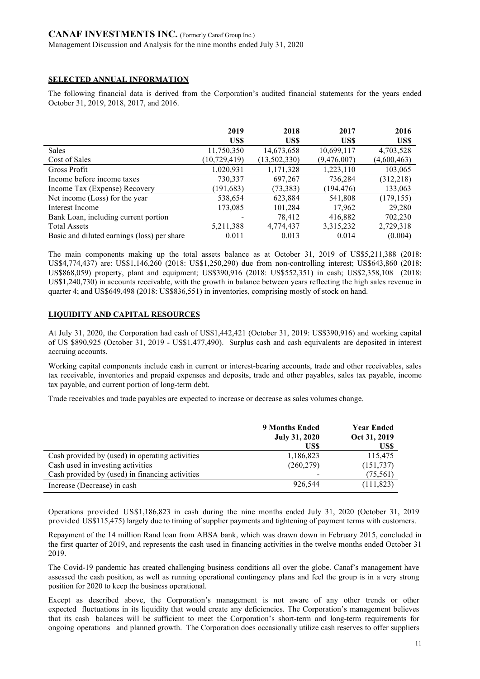# **SELECTED ANNUAL INFORMATION**

The following financial data is derived from the Corporation's audited financial statements for the years ended October 31, 2019, 2018, 2017, and 2016.

|                                             | 2019           | 2018         | 2017        | 2016        |
|---------------------------------------------|----------------|--------------|-------------|-------------|
|                                             | US\$           | US\$         | US\$        | US\$        |
| <b>Sales</b>                                | 11,750,350     | 14,673,658   | 10,699,117  | 4,703,528   |
| Cost of Sales                               | (10, 729, 419) | (13,502,330) | (9,476,007) | (4,600,463) |
| Gross Profit                                | 1,020,931      | 1,171,328    | 1,223,110   | 103,065     |
| Income before income taxes                  | 730,337        | 697,267      | 736,284     | (312, 218)  |
| Income Tax (Expense) Recovery               | (191, 683)     | (73, 383)    | (194, 476)  | 133,063     |
| Net income (Loss) for the year              | 538,654        | 623,884      | 541,808     | (179, 155)  |
| Interest Income                             | 173,085        | 101,284      | 17,962      | 29,280      |
| Bank Loan, including current portion        |                | 78.412       | 416,882     | 702,230     |
| <b>Total Assets</b>                         | 5,211,388      | 4,774,437    | 3,315,232   | 2,729,318   |
| Basic and diluted earnings (loss) per share | 0.011          | 0.013        | 0.014       | (0.004)     |

The main components making up the total assets balance as at October 31, 2019 of US\$5,211,388 (2018: US\$4,774,437) are: US\$1,146,260 (2018: US\$1,250,290) due from non-controlling interest; US\$643,860 (2018: US\$868,059) property, plant and equipment; US\$390,916 (2018: US\$552,351) in cash; US\$2,358,108 (2018: US\$1,240,730) in accounts receivable, with the growth in balance between years reflecting the high sales revenue in quarter 4; and US\$649,498 (2018: US\$836,551) in inventories, comprising mostly of stock on hand.

# **LIQUIDITY AND CAPITAL RESOURCES**

At July 31, 2020, the Corporation had cash of US\$1,442,421 (October 31, 2019: US\$390,916) and working capital of US \$890,925 (October 31, 2019 - US\$1,477,490). Surplus cash and cash equivalents are deposited in interest accruing accounts.

Working capital components include cash in current or interest-bearing accounts, trade and other receivables, sales tax receivable, inventories and prepaid expenses and deposits, trade and other payables, sales tax payable, income tax payable, and current portion of long-term debt.

Trade receivables and trade payables are expected to increase or decrease as sales volumes change.

|                                                 | <b>9 Months Ended</b><br><b>July 31, 2020</b><br>US\$ | <b>Year Ended</b><br>Oct 31, 2019<br>US\$ |
|-------------------------------------------------|-------------------------------------------------------|-------------------------------------------|
| Cash provided by (used) in operating activities | 1,186,823                                             | 115,475                                   |
| Cash used in investing activities               | (260, 279)                                            | (151, 737)                                |
| Cash provided by (used) in financing activities |                                                       | (75, 561)                                 |
| Increase (Decrease) in cash                     | 926,544                                               | (111, 823)                                |

Operations provided US\$1,186,823 in cash during the nine months ended July 31, 2020 (October 31, 2019 provided US\$115,475) largely due to timing of supplier payments and tightening of payment terms with customers.

Repayment of the 14 million Rand loan from ABSA bank, which was drawn down in February 2015, concluded in the first quarter of 2019, and represents the cash used in financing activities in the twelve months ended October 31 2019.

The Covid-19 pandemic has created challenging business conditions all over the globe. Canaf's management have assessed the cash position, as well as running operational contingency plans and feel the group is in a very strong position for 2020 to keep the business operational.

Except as described above, the Corporation's management is not aware of any other trends or other expected fluctuations in its liquidity that would create any deficiencies. The Corporation's management believes that its cash balances will be sufficient to meet the Corporation's short-term and long-term requirements for ongoing operations and planned growth. The Corporation does occasionally utilize cash reserves to offer suppliers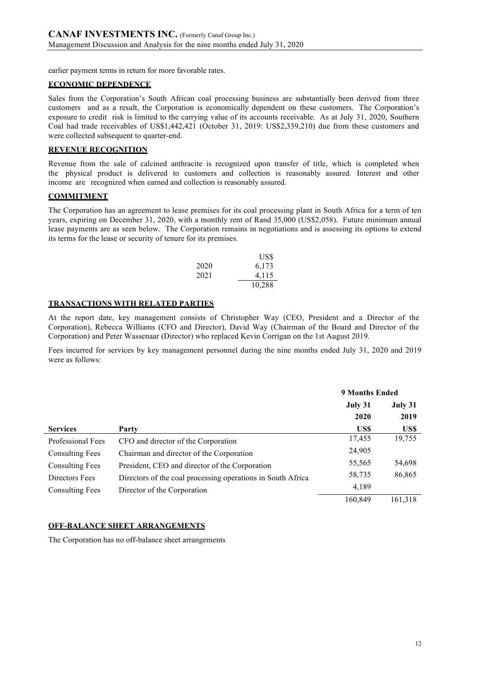earlier payment terms in return for more favorable rates.

# **ECONOMIC DEPENDENCE**

Sales from the Corporation's South African coal processing business are substantially been derived from three customers and as a result, the Corporation is economically dependent on these customers. The Corporation's exposure to credit risk is limited to the carrying value of its accounts receivable. As at July 31, 2020, Southern Coal had trade receivables of US\$1,442,421 (October 31, 2019: US\$2,339,210) due from these customers and were collected subsequent to quarter-end.

# **REVENUE RECOGNITION**

Revenue from the sale of calcined anthracite is recognized upon transfer of title, which is completed when the physical product is delivered to customers and collection is reasonably assured. Interest and other income are recognized when earned and collection is reasonably assured.

# **COMMITMENT**

The Corporation has an agreement to lease premises for its coal processing plant in South Africa for a term of ten years, expiring on December 31, 2020, with a monthly rent of Rand 35,000 (US\$2,058). Future minimum annual lease payments are as seen below. The Corporation remains in negotiations and is assessing its options to extend its terms for the lease or security of tenure for its premises.

|      | USS    |
|------|--------|
| 2020 | 6,173  |
| 2021 | 4,115  |
|      | 10,288 |

### **TRANSACTIONS WITH RELATED PARTIES**

At the report date, key management consists of Christopher Way (CEO, President and a Director of the Corporation), Rebecca Williams (CFO and Director), David Way (Chairman of the Board and Director of the Corporation) and Peter Wassenaar (Director) who replaced Kevin Corrigan on the 1st August 2019.

Fees incurred for services by key management personnel during the nine months ended July 31, 2020 and 2019 were as follows:

|                          |                                                             | <b>9 Months Ended</b> |         |
|--------------------------|-------------------------------------------------------------|-----------------------|---------|
|                          |                                                             | July 31               | July 31 |
|                          |                                                             | 2020                  | 2019    |
| <b>Services</b>          | Party                                                       | US\$                  | US\$    |
| <b>Professional Fees</b> | CFO and director of the Corporation                         | 17,455                | 19,755  |
| <b>Consulting Fees</b>   | Chairman and director of the Corporation                    | 24,905                |         |
| <b>Consulting Fees</b>   | President, CEO and director of the Corporation              | 55,565                | 54,698  |
| Directors Fees           | Directors of the coal processing operations in South Africa | 58,735                | 86,865  |
| <b>Consulting Fees</b>   | Director of the Corporation                                 | 4,189                 |         |
|                          |                                                             | 160,849               | 161,318 |

# **OFF-BALANCE SHEET ARRANGEMENTS**

The Corporation has no off-balance sheet arrangements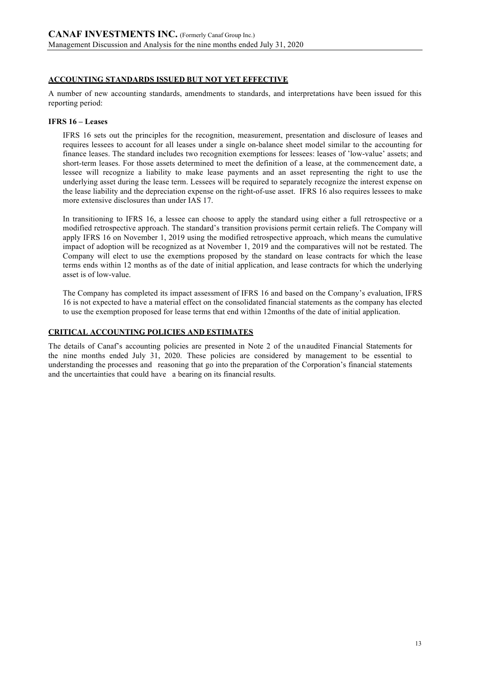# **ACCOUNTING STANDARDS ISSUED BUT NOT YET EFFECTIVE**

A number of new accounting standards, amendments to standards, and interpretations have been issued for this reporting period:

### **IFRS 16 – Leases**

IFRS 16 sets out the principles for the recognition, measurement, presentation and disclosure of leases and requires lessees to account for all leases under a single on-balance sheet model similar to the accounting for finance leases. The standard includes two recognition exemptions for lessees: leases of 'low-value' assets; and short-term leases. For those assets determined to meet the definition of a lease, at the commencement date, a lessee will recognize a liability to make lease payments and an asset representing the right to use the underlying asset during the lease term. Lessees will be required to separately recognize the interest expense on the lease liability and the depreciation expense on the right-of-use asset. IFRS 16 also requires lessees to make more extensive disclosures than under IAS 17.

In transitioning to IFRS 16, a lessee can choose to apply the standard using either a full retrospective or a modified retrospective approach. The standard's transition provisions permit certain reliefs. The Company will apply IFRS 16 on November 1, 2019 using the modified retrospective approach, which means the cumulative impact of adoption will be recognized as at November 1, 2019 and the comparatives will not be restated. The Company will elect to use the exemptions proposed by the standard on lease contracts for which the lease terms ends within 12 months as of the date of initial application, and lease contracts for which the underlying asset is of low-value.

The Company has completed its impact assessment of IFRS 16 and based on the Company's evaluation, IFRS 16 is not expected to have a material effect on the consolidated financial statements as the company has elected to use the exemption proposed for lease terms that end within 12months of the date of initial application.

### **CRITICAL ACCOUNTING POLICIES AND ESTIMATES**

The details of Canaf's accounting policies are presented in Note 2 of the unaudited Financial Statements for the nine months ended July 31, 2020. These policies are considered by management to be essential to understanding the processes and reasoning that go into the preparation of the Corporation's financial statements and the uncertainties that could have a bearing on its financial results.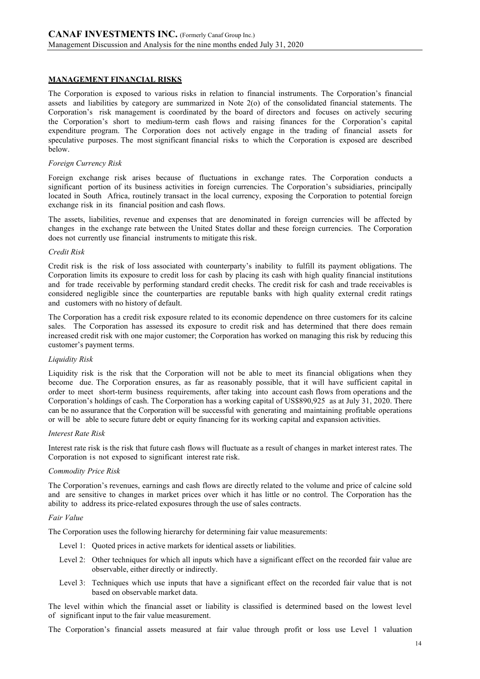### **MANAGEMENT FINANCIAL RISKS**

The Corporation is exposed to various risks in relation to financial instruments. The Corporation's financial assets and liabilities by category are summarized in Note 2(o) of the consolidated financial statements. The Corporation's risk management is coordinated by the board of directors and focuses on actively securing the Corporation's short to medium-term cash flows and raising finances for the Corporation's capital expenditure program. The Corporation does not actively engage in the trading of financial assets for speculative purposes. The most significant financial risks to which the Corporation is exposed are described below.

#### *Foreign Currency Risk*

Foreign exchange risk arises because of fluctuations in exchange rates. The Corporation conducts a significant portion of its business activities in foreign currencies. The Corporation's subsidiaries, principally located in South Africa, routinely transact in the local currency, exposing the Corporation to potential foreign exchange risk in its financial position and cash flows.

The assets, liabilities, revenue and expenses that are denominated in foreign currencies will be affected by changes in the exchange rate between the United States dollar and these foreign currencies. The Corporation does not currently use financial instruments to mitigate this risk.

#### *Credit Risk*

Credit risk is the risk of loss associated with counterparty's inability to fulfill its payment obligations. The Corporation limits its exposure to credit loss for cash by placing its cash with high quality financial institutions and for trade receivable by performing standard credit checks. The credit risk for cash and trade receivables is considered negligible since the counterparties are reputable banks with high quality external credit ratings and customers with no history of default.

The Corporation has a credit risk exposure related to its economic dependence on three customers for its calcine sales. The Corporation has assessed its exposure to credit risk and has determined that there does remain increased credit risk with one major customer; the Corporation has worked on managing this risk by reducing this customer's payment terms.

### *Liquidity Risk*

Liquidity risk is the risk that the Corporation will not be able to meet its financial obligations when they become due. The Corporation ensures, as far as reasonably possible, that it will have sufficient capital in order to meet short-term business requirements, after taking into account cash flows from operations and the Corporation's holdings of cash. The Corporation has a working capital of US\$890,925 as at July 31, 2020. There can be no assurance that the Corporation will be successful with generating and maintaining profitable operations or will be able to secure future debt or equity financing for its working capital and expansion activities.

### *Interest Rate Risk*

Interest rate risk is the risk that future cash flows will fluctuate as a result of changes in market interest rates. The Corporation is not exposed to significant interest rate risk.

### *Commodity Price Risk*

The Corporation's revenues, earnings and cash flows are directly related to the volume and price of calcine sold and are sensitive to changes in market prices over which it has little or no control. The Corporation has the ability to address its price-related exposures through the use of sales contracts.

#### *Fair Value*

The Corporation uses the following hierarchy for determining fair value measurements:

- Level 1: Ouoted prices in active markets for identical assets or liabilities.
- Level 2: Other techniques for which all inputs which have a significant effect on the recorded fair value are observable, either directly or indirectly.
- Level 3: Techniques which use inputs that have a significant effect on the recorded fair value that is not based on observable market data.

The level within which the financial asset or liability is classified is determined based on the lowest level of significant input to the fair value measurement.

The Corporation's financial assets measured at fair value through profit or loss use Level 1 valuation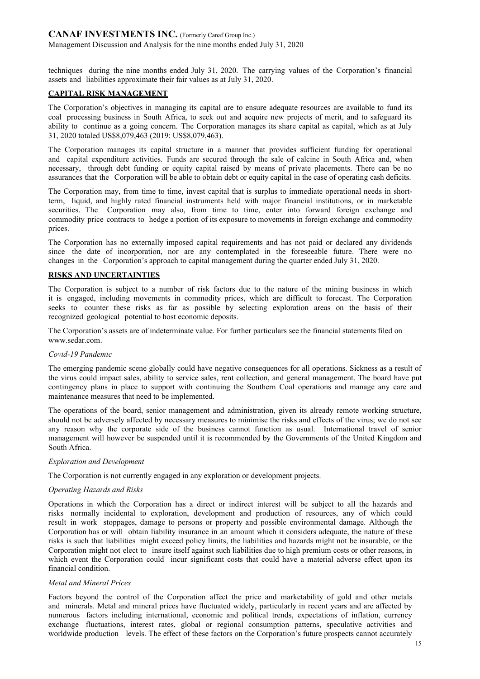techniques during the nine months ended July 31, 2020. The carrying values of the Corporation's financial assets and liabilities approximate their fair values as at July 31, 2020.

### **CAPITAL RISK MANAGEMENT**

The Corporation's objectives in managing its capital are to ensure adequate resources are available to fund its coal processing business in South Africa, to seek out and acquire new projects of merit, and to safeguard its ability to continue as a going concern. The Corporation manages its share capital as capital, which as at July 31, 2020 totaled US\$8,079,463 (2019: US\$8,079,463).

The Corporation manages its capital structure in a manner that provides sufficient funding for operational and capital expenditure activities. Funds are secured through the sale of calcine in South Africa and, when necessary, through debt funding or equity capital raised by means of private placements. There can be no assurances that the Corporation will be able to obtain debt or equity capital in the case of operating cash deficits.

The Corporation may, from time to time, invest capital that is surplus to immediate operational needs in shortterm, liquid, and highly rated financial instruments held with major financial institutions, or in marketable securities. The Corporation may also, from time to time, enter into forward foreign exchange and commodity price contracts to hedge a portion of its exposure to movements in foreign exchange and commodity prices.

The Corporation has no externally imposed capital requirements and has not paid or declared any dividends since the date of incorporation, nor are any contemplated in the foreseeable future. There were no changes in the Corporation's approach to capital management during the quarter ended July 31, 2020.

### **RISKS AND UNCERTAINTIES**

The Corporation is subject to a number of risk factors due to the nature of the mining business in which it is engaged, including movements in commodity prices, which are difficult to forecast. The Corporation seeks to counter these risks as far as possible by selecting exploration areas on the basis of their recognized geological potential to host economic deposits.

The Corporation's assets are of indeterminate value. For further particulars see the financial statements filed on www.sedar.com.

### *Covid-19 Pandemic*

The emerging pandemic scene globally could have negative consequences for all operations. Sickness as a result of the virus could impact sales, ability to service sales, rent collection, and general management. The board have put contingency plans in place to support with continuing the Southern Coal operations and manage any care and maintenance measures that need to be implemented.

The operations of the board, senior management and administration, given its already remote working structure, should not be adversely affected by necessary measures to minimise the risks and effects of the virus; we do not see any reason why the corporate side of the business cannot function as usual. International travel of senior management will however be suspended until it is recommended by the Governments of the United Kingdom and South Africa.

### *Exploration and Development*

The Corporation is not currently engaged in any exploration or development projects.

### *Operating Hazards and Risks*

Operations in which the Corporation has a direct or indirect interest will be subject to all the hazards and risks normally incidental to exploration, development and production of resources, any of which could result in work stoppages, damage to persons or property and possible environmental damage. Although the Corporation has or will obtain liability insurance in an amount which it considers adequate, the nature of these risks is such that liabilities might exceed policy limits, the liabilities and hazards might not be insurable, or the Corporation might not elect to insure itself against such liabilities due to high premium costs or other reasons, in which event the Corporation could incur significant costs that could have a material adverse effect upon its financial condition.

### *Metal and Mineral Prices*

Factors beyond the control of the Corporation affect the price and marketability of gold and other metals and minerals. Metal and mineral prices have fluctuated widely, particularly in recent years and are affected by numerous factors including international, economic and political trends, expectations of inflation, currency exchange fluctuations, interest rates, global or regional consumption patterns, speculative activities and worldwide production levels. The effect of these factors on the Corporation's future prospects cannot accurately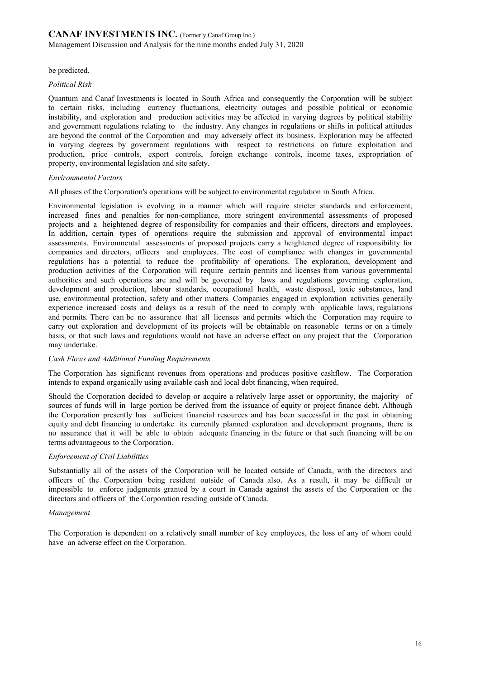be predicted.

### *Political Risk*

Quantum and Canaf Investments is located in South Africa and consequently the Corporation will be subject to certain risks, including currency fluctuations, electricity outages and possible political or economic instability, and exploration and production activities may be affected in varying degrees by political stability and government regulations relating to the industry. Any changes in regulations or shifts in political attitudes are beyond the control of the Corporation and may adversely affect its business. Exploration may be affected in varying degrees by government regulations with respect to restrictions on future exploitation and production, price controls, export controls, foreign exchange controls, income taxes, expropriation of property, environmental legislation and site safety.

### *Environmental Factors*

All phases of the Corporation's operations will be subject to environmental regulation in South Africa.

Environmental legislation is evolving in a manner which will require stricter standards and enforcement, increased fines and penalties for non-compliance, more stringent environmental assessments of proposed projects and a heightened degree of responsibility for companies and their officers, directors and employees. In addition, certain types of operations require the submission and approval of environmental impact assessments. Environmental assessments of proposed projects carry a heightened degree of responsibility for companies and directors, officers and employees. The cost of compliance with changes in governmental regulations has a potential to reduce the profitability of operations. The exploration, development and production activities of the Corporation will require certain permits and licenses from various governmental authorities and such operations are and will be governed by laws and regulations governing exploration, development and production, labour standards, occupational health, waste disposal, toxic substances, land use, environmental protection, safety and other matters. Companies engaged in exploration activities generally experience increased costs and delays as a result of the need to comply with applicable laws, regulations and permits. There can be no assurance that all licenses and permits which the Corporation may require to carry out exploration and development of its projects will be obtainable on reasonable terms or on a timely basis, or that such laws and regulations would not have an adverse effect on any project that the Corporation may undertake.

### *Cash Flows and Additional Funding Requirements*

The Corporation has significant revenues from operations and produces positive cashflow. The Corporation intends to expand organically using available cash and local debt financing, when required.

Should the Corporation decided to develop or acquire a relatively large asset or opportunity, the majority of sources of funds will in large portion be derived from the issuance of equity or project finance debt. Although the Corporation presently has sufficient financial resources and has been successful in the past in obtaining equity and debt financing to undertake its currently planned exploration and development programs, there is no assurance that it will be able to obtain adequate financing in the future or that such financing will be on terms advantageous to the Corporation.

# *Enforcement of Civil Liabilities*

Substantially all of the assets of the Corporation will be located outside of Canada, with the directors and officers of the Corporation being resident outside of Canada also. As a result, it may be difficult or impossible to enforce judgments granted by a court in Canada against the assets of the Corporation or the directors and officers of the Corporation residing outside of Canada.

### *Management*

The Corporation is dependent on a relatively small number of key employees, the loss of any of whom could have an adverse effect on the Corporation.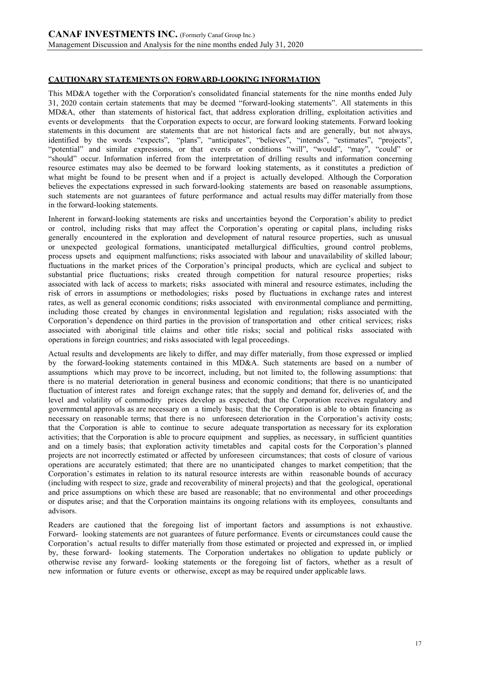# **CAUTIONARY STATEMENTS ON FORWARD-LOOKING INFORMATION**

This MD&A together with the Corporation's consolidated financial statements for the nine months ended July 31, 2020 contain certain statements that may be deemed "forward-looking statements". All statements in this MD&A, other than statements of historical fact, that address exploration drilling, exploitation activities and events or developments that the Corporation expects to occur, are forward looking statements. Forward looking statements in this document are statements that are not historical facts and are generally, but not always, identified by the words "expects", "plans", "anticipates", "believes", "intends", "estimates", "projects", "potential" and similar expressions, or that events or conditions "will", "would", "may", "could" or "should" occur. Information inferred from the interpretation of drilling results and information concerning resource estimates may also be deemed to be forward looking statements, as it constitutes a prediction of what might be found to be present when and if a project is actually developed. Although the Corporation believes the expectations expressed in such forward-looking statements are based on reasonable assumptions, such statements are not guarantees of future performance and actual results may differ materially from those in the forward-looking statements.

Inherent in forward-looking statements are risks and uncertainties beyond the Corporation's ability to predict or control, including risks that may affect the Corporation's operating or capital plans, including risks generally encountered in the exploration and development of natural resource properties, such as unusual or unexpected geological formations, unanticipated metallurgical difficulties, ground control problems, process upsets and equipment malfunctions; risks associated with labour and unavailability of skilled labour; fluctuations in the market prices of the Corporation's principal products, which are cyclical and subject to substantial price fluctuations; risks created through competition for natural resource properties; risks associated with lack of access to markets; risks associated with mineral and resource estimates, including the risk of errors in assumptions or methodologies; risks posed by fluctuations in exchange rates and interest rates, as well as general economic conditions; risks associated with environmental compliance and permitting, including those created by changes in environmental legislation and regulation; risks associated with the Corporation's dependence on third parties in the provision of transportation and other critical services; risks associated with aboriginal title claims and other title risks; social and political risks associated with operations in foreign countries; and risks associated with legal proceedings.

Actual results and developments are likely to differ, and may differ materially, from those expressed or implied by the forward-looking statements contained in this MD&A. Such statements are based on a number of assumptions which may prove to be incorrect, including, but not limited to, the following assumptions: that there is no material deterioration in general business and economic conditions; that there is no unanticipated fluctuation of interest rates and foreign exchange rates; that the supply and demand for, deliveries of, and the level and volatility of commodity prices develop as expected; that the Corporation receives regulatory and governmental approvals as are necessary on a timely basis; that the Corporation is able to obtain financing as necessary on reasonable terms; that there is no unforeseen deterioration in the Corporation's activity costs; that the Corporation is able to continue to secure adequate transportation as necessary for its exploration activities; that the Corporation is able to procure equipment and supplies, as necessary, in sufficient quantities and on a timely basis; that exploration activity timetables and capital costs for the Corporation's planned projects are not incorrectly estimated or affected by unforeseen circumstances; that costs of closure of various operations are accurately estimated; that there are no unanticipated changes to market competition; that the Corporation's estimates in relation to its natural resource interests are within reasonable bounds of accuracy (including with respect to size, grade and recoverability of mineral projects) and that the geological, operational and price assumptions on which these are based are reasonable; that no environmental and other proceedings or disputes arise; and that the Corporation maintains its ongoing relations with its employees, consultants and advisors.

Readers are cautioned that the foregoing list of important factors and assumptions is not exhaustive. Forward- looking statements are not guarantees of future performance. Events or circumstances could cause the Corporation's actual results to differ materially from those estimated or projected and expressed in, or implied by, these forward- looking statements. The Corporation undertakes no obligation to update publicly or otherwise revise any forward- looking statements or the foregoing list of factors, whether as a result of new information or future events or otherwise, except as may be required under applicable laws.